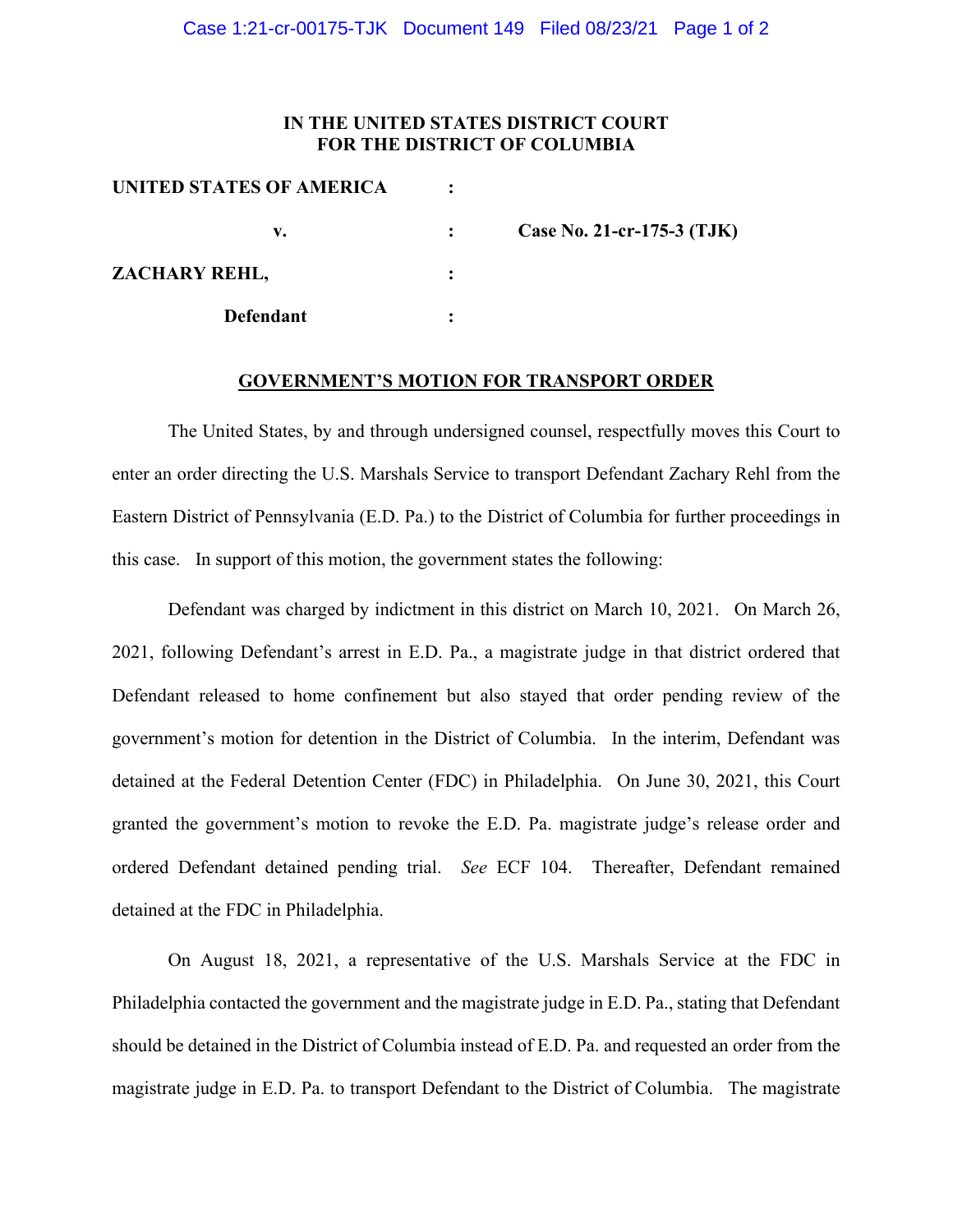## **IN THE UNITED STATES DISTRICT COURT FOR THE DISTRICT OF COLUMBIA**

| UNITED STATES OF AMERICA |                            |
|--------------------------|----------------------------|
| v.                       | Case No. 21-cr-175-3 (TJK) |
| ZACHARY REHL,            |                            |
| <b>Defendant</b>         |                            |

#### **GOVERNMENT'S MOTION FOR TRANSPORT ORDER**

The United States, by and through undersigned counsel, respectfully moves this Court to enter an order directing the U.S. Marshals Service to transport Defendant Zachary Rehl from the Eastern District of Pennsylvania (E.D. Pa.) to the District of Columbia for further proceedings in this case. In support of this motion, the government states the following:

Defendant was charged by indictment in this district on March 10, 2021. On March 26, 2021, following Defendant's arrest in E.D. Pa., a magistrate judge in that district ordered that Defendant released to home confinement but also stayed that order pending review of the government's motion for detention in the District of Columbia. In the interim, Defendant was detained at the Federal Detention Center (FDC) in Philadelphia. On June 30, 2021, this Court granted the government's motion to revoke the E.D. Pa. magistrate judge's release order and ordered Defendant detained pending trial. *See* ECF 104. Thereafter, Defendant remained detained at the FDC in Philadelphia.

On August 18, 2021, a representative of the U.S. Marshals Service at the FDC in Philadelphia contacted the government and the magistrate judge in E.D. Pa., stating that Defendant should be detained in the District of Columbia instead of E.D. Pa. and requested an order from the magistrate judge in E.D. Pa. to transport Defendant to the District of Columbia. The magistrate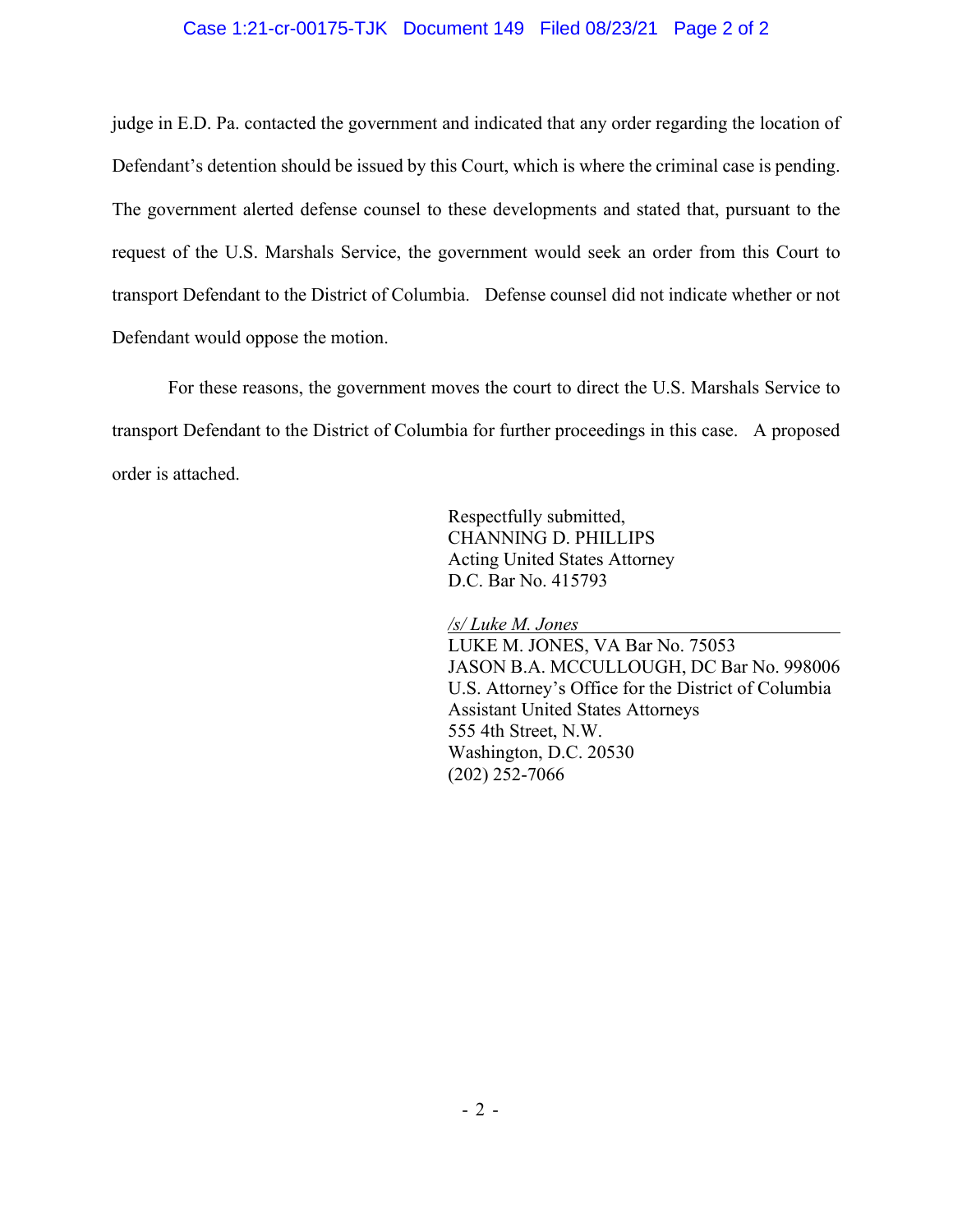### Case 1:21-cr-00175-TJK Document 149 Filed 08/23/21 Page 2 of 2

judge in E.D. Pa. contacted the government and indicated that any order regarding the location of Defendant's detention should be issued by this Court, which is where the criminal case is pending. The government alerted defense counsel to these developments and stated that, pursuant to the request of the U.S. Marshals Service, the government would seek an order from this Court to transport Defendant to the District of Columbia. Defense counsel did not indicate whether or not Defendant would oppose the motion.

For these reasons, the government moves the court to direct the U.S. Marshals Service to transport Defendant to the District of Columbia for further proceedings in this case. A proposed order is attached.

> Respectfully submitted, CHANNING D. PHILLIPS Acting United States Attorney D.C. Bar No. 415793

*/s/ Luke M. Jones*

LUKE M. JONES, VA Bar No. 75053 JASON B.A. MCCULLOUGH, DC Bar No. 998006 U.S. Attorney's Office for the District of Columbia Assistant United States Attorneys 555 4th Street, N.W. Washington, D.C. 20530 (202) 252-7066